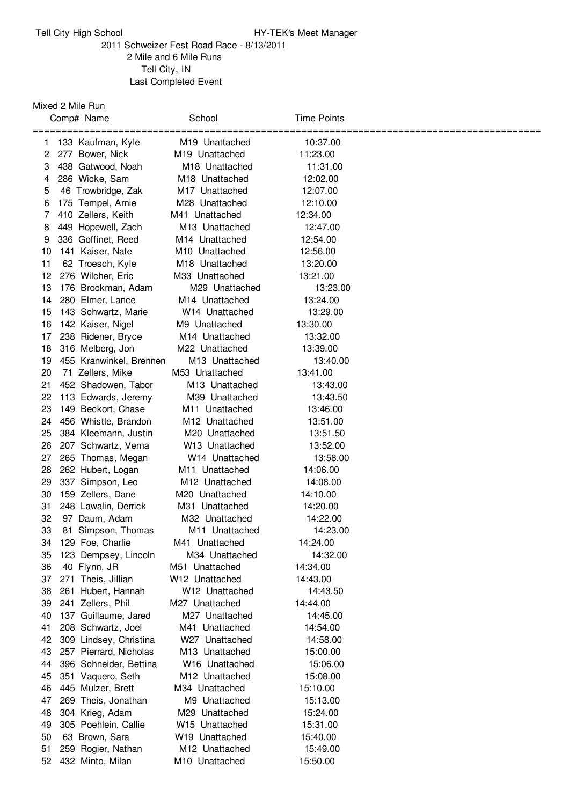## Tell City High School **HY-TEK's Meet Manager**

## Schweizer Fest Road Race - 8/13/2011 Mile and 6 Mile Runs Tell City, IN Last Completed Event

## Mixed 2 Mile Run

|         | Comp# Name                              | School                                                   | Time Points          |  |
|---------|-----------------------------------------|----------------------------------------------------------|----------------------|--|
|         |                                         | ======================                                   | =======              |  |
| 1       | 133 Kaufman, Kyle                       | M <sub>19</sub> Unattached                               | 10:37.00             |  |
| 2       | 277 Bower, Nick                         | M <sub>19</sub> Unattached<br>M <sub>18</sub> Unattached | 11:23.00             |  |
| 3<br>4  | 438 Gatwood, Noah                       |                                                          | 11:31.00             |  |
|         | 286 Wicke, Sam                          | M <sub>18</sub> Unattached                               | 12:02.00             |  |
| 5<br>6  | 46 Trowbridge, Zak<br>175 Tempel, Arnie | M <sub>17</sub> Unattached                               | 12:07.00             |  |
| 7       | 410 Zellers, Keith                      | M28 Unattached                                           | 12:10.00<br>12:34.00 |  |
|         | 449 Hopewell, Zach                      | M41 Unattached<br>M13 Unattached                         | 12:47.00             |  |
| 8       | 336 Goffinet, Reed                      | M <sub>14</sub> Unattached                               | 12:54.00             |  |
| 9<br>10 | 141 Kaiser, Nate                        | M <sub>10</sub> Unattached                               | 12:56.00             |  |
| 11      |                                         |                                                          |                      |  |
| 12      | 62 Troesch, Kyle<br>276 Wilcher, Eric   | M <sub>18</sub> Unattached                               | 13:20.00<br>13:21.00 |  |
| 13      | 176 Brockman, Adam                      | M33 Unattached<br>M29 Unattached                         | 13:23.00             |  |
| 14      | 280 Elmer, Lance                        | M <sub>14</sub> Unattached                               | 13:24.00             |  |
| 15      | 143 Schwartz, Marie                     | W <sub>14</sub> Unattached                               | 13:29.00             |  |
| 16      | 142 Kaiser, Nigel                       | M9 Unattached                                            | 13:30.00             |  |
| 17      | 238 Ridener, Bryce                      | M <sub>14</sub> Unattached                               | 13:32.00             |  |
| 18      | 316 Melberg, Jon                        | M22 Unattached                                           | 13:39.00             |  |
| 19      | 455 Kranwinkel, Brennen                 | M13 Unattached                                           | 13:40.00             |  |
| 20      | 71 Zellers, Mike                        | M53 Unattached                                           | 13:41.00             |  |
| 21      | 452 Shadowen, Tabor                     | M13 Unattached                                           | 13:43.00             |  |
| 22      | 113 Edwards, Jeremy                     | M39 Unattached                                           | 13:43.50             |  |
| 23      | 149 Beckort, Chase                      | M11 Unattached                                           | 13:46.00             |  |
| 24      | 456 Whistle, Brandon                    | M <sub>12</sub> Unattached                               | 13:51.00             |  |
| 25      | 384 Kleemann, Justin                    | M20 Unattached                                           | 13:51.50             |  |
| 26      | 207 Schwartz, Verna                     | W <sub>13</sub> Unattached                               | 13:52.00             |  |
| 27      | 265 Thomas, Megan                       | W <sub>14</sub> Unattached                               | 13:58.00             |  |
| 28      | 262 Hubert, Logan                       | M11 Unattached                                           | 14:06.00             |  |
| 29      | 337 Simpson, Leo                        | M12 Unattached                                           | 14:08.00             |  |
| 30      | 159 Zellers, Dane                       | M <sub>20</sub> Unattached                               | 14:10.00             |  |
| 31      | 248 Lawalin, Derrick                    | M31 Unattached                                           | 14:20.00             |  |
| 32      | 97 Daum, Adam                           | M32 Unattached                                           | 14:22.00             |  |
| 33      | 81 Simpson, Thomas                      | M11 Unattached                                           | 14:23.00             |  |
| 34      | 129 Foe, Charlie                        | M41 Unattached                                           | 14:24.00             |  |
| 35      | 123 Dempsey, Lincoln                    | M34 Unattached                                           | 14:32.00             |  |
| 36      | 40 Flynn, JR                            | M51 Unattached                                           | 14:34.00             |  |
| 37      | 271 Theis, Jillian                      | W <sub>12</sub> Unattached                               | 14:43.00             |  |
| 38      | 261 Hubert, Hannah                      | W12 Unattached                                           | 14:43.50             |  |
| 39      | 241 Zellers, Phil                       | M27 Unattached                                           | 14:44.00             |  |
| 40      | 137 Guillaume, Jared                    | M27 Unattached                                           | 14:45.00             |  |
| 41      | 208 Schwartz, Joel                      | M41 Unattached                                           | 14:54.00             |  |
| 42      | 309 Lindsey, Christina                  | W <sub>27</sub> Unattached                               | 14:58.00             |  |
| 43      | 257 Pierrard, Nicholas                  | M13 Unattached                                           | 15:00.00             |  |
| 44      | 396 Schneider, Bettina                  | W16 Unattached                                           | 15:06.00             |  |
| 45      | 351 Vaquero, Seth                       | M12 Unattached                                           | 15:08.00             |  |
| 46      | 445 Mulzer, Brett                       | M34 Unattached                                           | 15:10.00             |  |
| 47      | 269 Theis, Jonathan                     | M9 Unattached                                            | 15:13.00             |  |
| 48      | 304 Krieg, Adam                         | M29 Unattached                                           | 15:24.00             |  |
| 49      | 305 Poehlein, Callie                    | W <sub>15</sub> Unattached                               | 15:31.00             |  |
| 50      | 63 Brown, Sara                          | W <sub>19</sub> Unattached                               | 15:40.00             |  |
| 51      | 259 Rogier, Nathan                      | M12 Unattached                                           | 15:49.00             |  |
| 52      | 432 Minto, Milan                        | M10 Unattached                                           | 15:50.00             |  |
|         |                                         |                                                          |                      |  |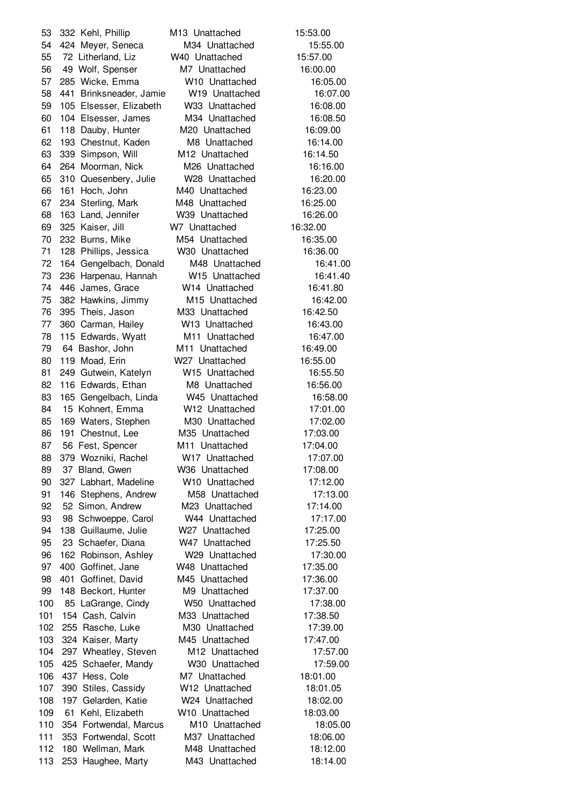332 Kehl, Phillip M13 Unattached 15:53.00 424 Meyer, Seneca M34 Unattached 15:55.00 72 Litherland, Liz W40 Unattached 15:57.00 49 Wolf, Spenser M7 Unattached 16:00.00 285 Wicke, Emma W10 Unattached 16:05.00 441 Brinksneader, Jamie W19 Unattached 16:07.00 105 Elsesser, Elizabeth W33 Unattached 16:08.00 104 Elsesser, James M34 Unattached 16:08.50 118 Dauby, Hunter M20 Unattached 16:09.00 193 Chestnut, Kaden M8 Unattached 16:14.00 339 Simpson, Will M12 Unattached 16:14.50 264 Moorman, Nick M26 Unattached 16:16.00 310 Quesenbery, Julie W28 Unattached 16:20.00 161 Hoch, John M40 Unattached 16:23.00 234 Sterling, Mark M48 Unattached 16:25.00 163 Land, Jennifer W39 Unattached 16:26.00 325 Kaiser, Jill W7 Unattached 16:32.00 232 Burns, Mike M54 Unattached 16:35.00 128 Phillips, Jessica W30 Unattached 16:36.00 164 Gengelbach, Donald M48 Unattached 16:41.00 236 Harpenau, Hannah W15 Unattached 16:41.40 446 James, Grace W14 Unattached 16:41.80 382 Hawkins, Jimmy M15 Unattached 16:42.00 395 Theis, Jason M33 Unattached 16:42.50 360 Carman, Hailey W13 Unattached 16:43.00 115 Edwards, Wyatt M11 Unattached 16:47.00 64 Bashor, John M11 Unattached 16:49.00 119 Moad, Erin W27 Unattached 16:55.00 249 Gutwein, Katelyn W15 Unattached 16:55.50 82 116 Edwards, Ethan M8 Unattached 16:56.00 165 Gengelbach, Linda W45 Unattached 16:58.00 15 Kohnert, Emma W12 Unattached 17:01.00 169 Waters, Stephen M30 Unattached 17:02.00 191 Chestnut, Lee M35 Unattached 17:03.00 87 56 Fest, Spencer M11 Unattached 17:04.00 379 Wozniki, Rachel W17 Unattached 17:07.00 37 Bland, Gwen W36 Unattached 17:08.00 327 Labhart, Madeline W10 Unattached 17:12.00 146 Stephens, Andrew M58 Unattached 17:13.00 52 Simon, Andrew M23 Unattached 17:14.00 93 98 Schwoeppe, Carol W44 Unattached 17:17.00 138 Guillaume, Julie W27 Unattached 17:25.00 23 Schaefer, Diana W47 Unattached 17:25.50 162 Robinson, Ashley W29 Unattached 17:30.00 400 Goffinet, Jane W48 Unattached 17:35.00 401 Goffinet, David M45 Unattached 17:36.00 148 Beckort, Hunter M9 Unattached 17:37.00 85 LaGrange, Cindy W50 Unattached 17:38.00 101 154 Cash, Calvin M33 Unattached 17:38.50 255 Rasche, Luke M30 Unattached 17:39.00 324 Kaiser, Marty M45 Unattached 17:47.00 297 Wheatley, Steven M12 Unattached 17:57.00 425 Schaefer, Mandy W30 Unattached 17:59.00 437 Hess, Cole M7 Unattached 18:01.00 390 Stiles, Cassidy W12 Unattached 18:01.05 197 Gelarden, Katie W24 Unattached 18:02.00 61 Kehl, Elizabeth W10 Unattached 18:03.00 354 Fortwendal, Marcus M10 Unattached 18:05.00 353 Fortwendal, Scott M37 Unattached 18:06.00 180 Wellman, Mark M48 Unattached 18:12.00 253 Haughee, Marty M43 Unattached 18:14.00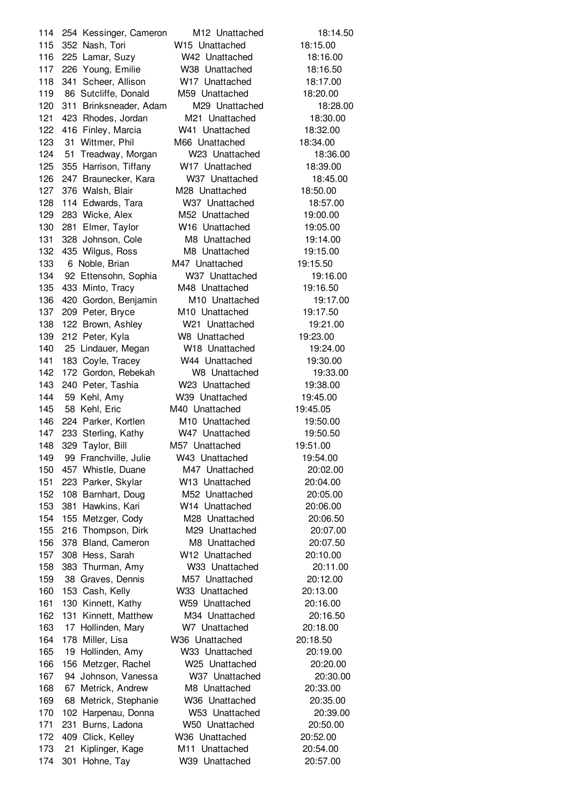254 Kessinger, Cameron M12 Unattached 18:14.50 352 Nash, Tori W15 Unattached 18:15.00 225 Lamar, Suzy W42 Unattached 18:16.00 226 Young, Emilie W38 Unattached 18:16.50 118 341 Scheer, Allison W17 Unattached 18:17.00 86 Sutcliffe, Donald M59 Unattached 18:20.00 311 Brinksneader, Adam M29 Unattached 18:28.00 423 Rhodes, Jordan M21 Unattached 18:30.00 416 Finley, Marcia W41 Unattached 18:32.00 123 31 Wittmer, Phil M66 Unattached 18:34.00 51 Treadway, Morgan W23 Unattached 18:36.00 355 Harrison, Tiffany W17 Unattached 18:39.00 247 Braunecker, Kara W37 Unattached 18:45.00 376 Walsh, Blair M28 Unattached 18:50.00 114 Edwards, Tara W37 Unattached 18:57.00 283 Wicke, Alex M52 Unattached 19:00.00 281 Elmer, Taylor W16 Unattached 19:05.00 328 Johnson, Cole M8 Unattached 19:14.00 132 435 Wilgus, Ross M8 Unattached 19:15.00 133 6 Noble, Brian M47 Unattached 19:15.50 92 Ettensohn, Sophia W37 Unattached 19:16.00 433 Minto, Tracy M48 Unattached 19:16.50 420 Gordon, Benjamin M10 Unattached 19:17.00 209 Peter, Bryce M10 Unattached 19:17.50 122 Brown, Ashley W21 Unattached 19:21.00 212 Peter, Kyla W8 Unattached 19:23.00 25 Lindauer, Megan W18 Unattached 19:24.00 183 Coyle, Tracey W44 Unattached 19:30.00 172 Gordon, Rebekah W8 Unattached 19:33.00 240 Peter, Tashia W23 Unattached 19:38.00 59 Kehl, Amy W39 Unattached 19:45.00 58 Kehl, Eric M40 Unattached 19:45.05 224 Parker, Kortlen M10 Unattached 19:50.00 147 233 Sterling, Kathy W47 Unattached 19:50.50 329 Taylor, Bill M57 Unattached 19:51.00 99 Franchville, Julie W43 Unattached 19:54.00 457 Whistle, Duane M47 Unattached 20:02.00 223 Parker, Skylar W13 Unattached 20:04.00 108 Barnhart, Doug M52 Unattached 20:05.00 381 Hawkins, Kari W14 Unattached 20:06.00 155 Metzger, Cody M28 Unattached 20:06.50 216 Thompson, Dirk M29 Unattached 20:07.00 378 Bland, Cameron M8 Unattached 20:07.50 308 Hess, Sarah W12 Unattached 20:10.00 383 Thurman, Amy W33 Unattached 20:11.00 38 Graves, Dennis M57 Unattached 20:12.00 153 Cash, Kelly W33 Unattached 20:13.00 130 Kinnett, Kathy W59 Unattached 20:16.00 131 Kinnett, Matthew M34 Unattached 20:16.50 17 Hollinden, Mary W7 Unattached 20:18.00 178 Miller, Lisa W36 Unattached 20:18.50 19 Hollinden, Amy W33 Unattached 20:19.00 156 Metzger, Rachel W25 Unattached 20:20.00 94 Johnson, Vanessa W37 Unattached 20:30.00 67 Metrick, Andrew M8 Unattached 20:33.00 68 Metrick, Stephanie W36 Unattached 20:35.00 102 Harpenau, Donna W53 Unattached 20:39.00 231 Burns, Ladona W50 Unattached 20:50.00 409 Click, Kelley W36 Unattached 20:52.00 21 Kiplinger, Kage M11 Unattached 20:54.00 301 Hohne, Tay W39 Unattached 20:57.00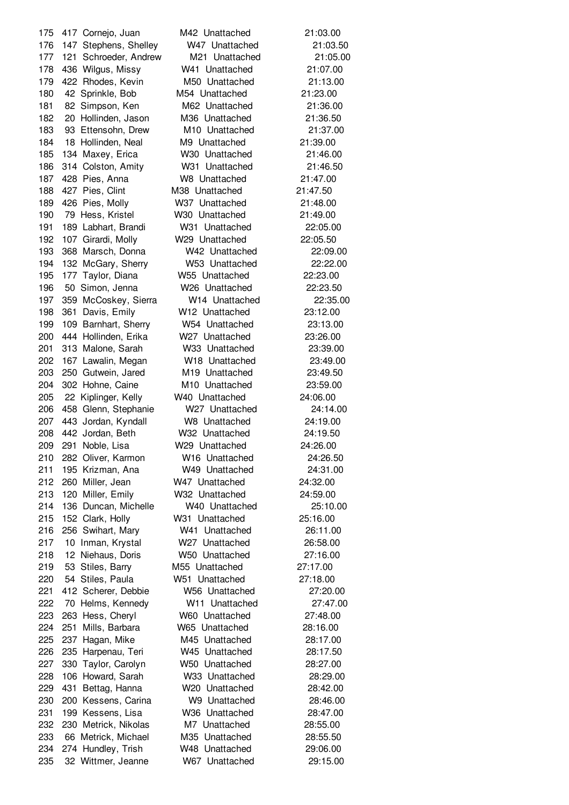417 Cornejo, Juan M42 Unattached 21:03.00 147 Stephens, Shelley W47 Unattached 21:03.50 121 Schroeder, Andrew M21 Unattached 21:05.00 436 Wilgus, Missy W41 Unattached 21:07.00 422 Rhodes, Kevin M50 Unattached 21:13.00 42 Sprinkle, Bob M54 Unattached 21:23.00 82 Simpson, Ken M62 Unattached 21:36.00 20 Hollinden, Jason M36 Unattached 21:36.50 93 Ettensohn, Drew M10 Unattached 21:37.00 18 Hollinden, Neal M9 Unattached 21:39.00 134 Maxey, Erica W30 Unattached 21:46.00 314 Colston, Amity W31 Unattached 21:46.50 428 Pies, Anna W8 Unattached 21:47.00 427 Pies, Clint M38 Unattached 21:47.50 426 Pies, Molly W37 Unattached 21:48.00 79 Hess, Kristel W30 Unattached 21:49.00 189 Labhart, Brandi W31 Unattached 22:05.00 107 Girardi, Molly W29 Unattached 22:05.50 368 Marsch, Donna W42 Unattached 22:09.00 132 McGary, Sherry W53 Unattached 22:22.00 177 Taylor, Diana W55 Unattached 22:23.00 50 Simon, Jenna W26 Unattached 22:23.50 359 McCoskey, Sierra W14 Unattached 22:35.00 361 Davis, Emily W12 Unattached 23:12.00 109 Barnhart, Sherry W54 Unattached 23:13.00 444 Hollinden, Erika W27 Unattached 23:26.00 313 Malone, Sarah W33 Unattached 23:39.00 167 Lawalin, Megan W18 Unattached 23:49.00 250 Gutwein, Jared M19 Unattached 23:49.50 302 Hohne, Caine M10 Unattached 23:59.00 22 Kiplinger, Kelly W40 Unattached 24:06.00 458 Glenn, Stephanie W27 Unattached 24:14.00 443 Jordan, Kyndall W8 Unattached 24:19.00 442 Jordan, Beth W32 Unattached 24:19.50 291 Noble, Lisa W29 Unattached 24:26.00 282 Oliver, Karmon W16 Unattached 24:26.50 195 Krizman, Ana W49 Unattached 24:31.00 260 Miller, Jean W47 Unattached 24:32.00 120 Miller, Emily W32 Unattached 24:59.00 136 Duncan, Michelle W40 Unattached 25:10.00 152 Clark, Holly W31 Unattached 25:16.00 256 Swihart, Mary W41 Unattached 26:11.00 10 Inman, Krystal W27 Unattached 26:58.00 12 Niehaus, Doris W50 Unattached 27:16.00 53 Stiles, Barry M55 Unattached 27:17.00 54 Stiles, Paula W51 Unattached 27:18.00 412 Scherer, Debbie W56 Unattached 27:20.00 70 Helms, Kennedy W11 Unattached 27:47.00 263 Hess, Cheryl W60 Unattached 27:48.00 251 Mills, Barbara W65 Unattached 28:16.00 237 Hagan, Mike M45 Unattached 28:17.00 235 Harpenau, Teri W45 Unattached 28:17.50 330 Taylor, Carolyn W50 Unattached 28:27.00 106 Howard, Sarah W33 Unattached 28:29.00 431 Bettag, Hanna W20 Unattached 28:42.00 200 Kessens, Carina W9 Unattached 28:46.00 199 Kessens, Lisa W36 Unattached 28:47.00 230 Metrick, Nikolas M7 Unattached 28:55.00 66 Metrick, Michael M35 Unattached 28:55.50 274 Hundley, Trish W48 Unattached 29:06.00 32 Wittmer, Jeanne W67 Unattached 29:15.00